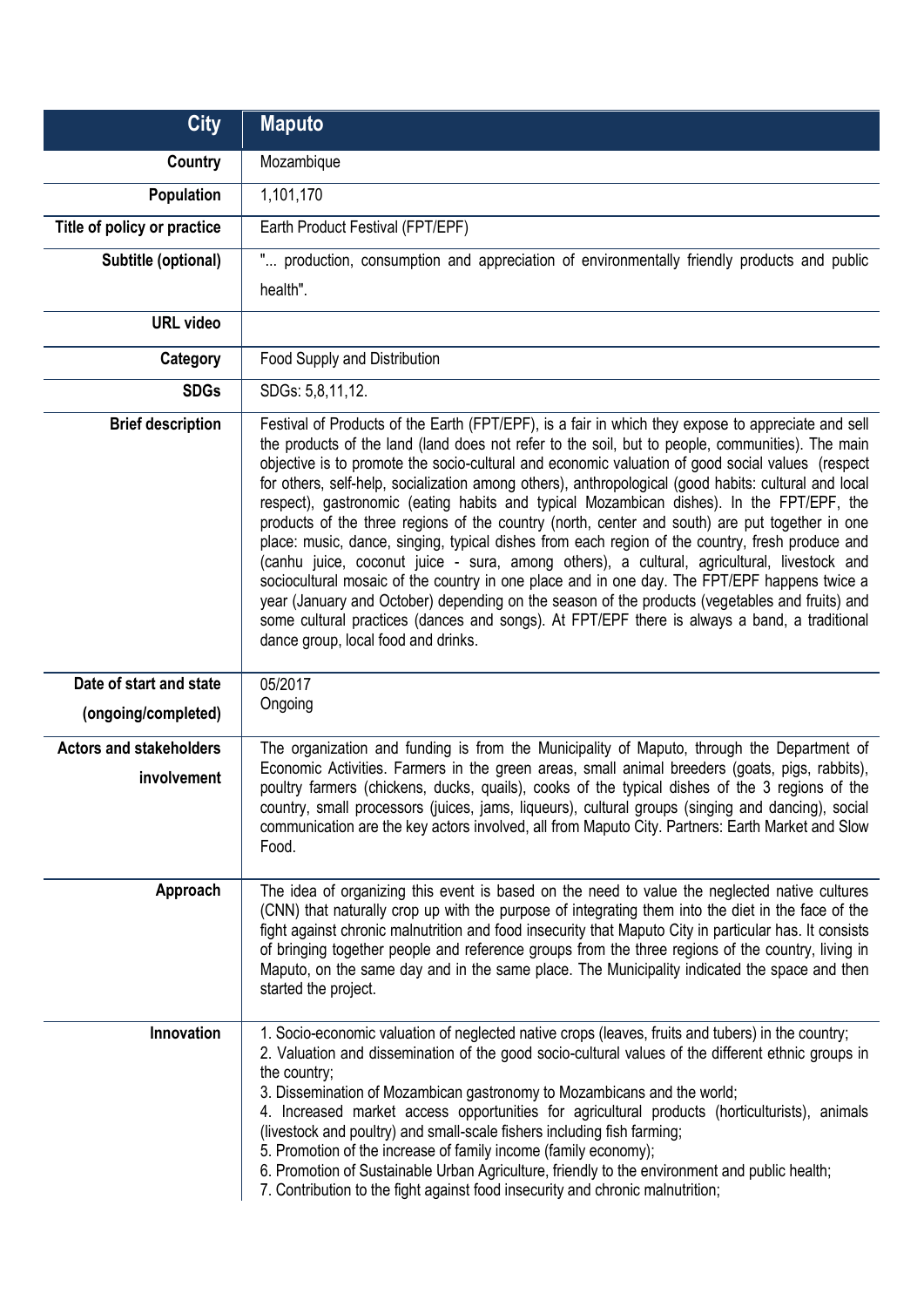| <b>City</b>                    | <b>Maputo</b>                                                                                                                                                                                                                                                                                                                                                                                                                                                                                                                                                                                                                                                                                                                                                                                                                                                                                                                                                                                                                                                                                                                                              |
|--------------------------------|------------------------------------------------------------------------------------------------------------------------------------------------------------------------------------------------------------------------------------------------------------------------------------------------------------------------------------------------------------------------------------------------------------------------------------------------------------------------------------------------------------------------------------------------------------------------------------------------------------------------------------------------------------------------------------------------------------------------------------------------------------------------------------------------------------------------------------------------------------------------------------------------------------------------------------------------------------------------------------------------------------------------------------------------------------------------------------------------------------------------------------------------------------|
| <b>Country</b>                 | Mozambique                                                                                                                                                                                                                                                                                                                                                                                                                                                                                                                                                                                                                                                                                                                                                                                                                                                                                                                                                                                                                                                                                                                                                 |
| <b>Population</b>              | 1,101,170                                                                                                                                                                                                                                                                                                                                                                                                                                                                                                                                                                                                                                                                                                                                                                                                                                                                                                                                                                                                                                                                                                                                                  |
| Title of policy or practice    | Earth Product Festival (FPT/EPF)                                                                                                                                                                                                                                                                                                                                                                                                                                                                                                                                                                                                                                                                                                                                                                                                                                                                                                                                                                                                                                                                                                                           |
| Subtitle (optional)            | " production, consumption and appreciation of environmentally friendly products and public                                                                                                                                                                                                                                                                                                                                                                                                                                                                                                                                                                                                                                                                                                                                                                                                                                                                                                                                                                                                                                                                 |
|                                | health".                                                                                                                                                                                                                                                                                                                                                                                                                                                                                                                                                                                                                                                                                                                                                                                                                                                                                                                                                                                                                                                                                                                                                   |
| <b>URL</b> video               |                                                                                                                                                                                                                                                                                                                                                                                                                                                                                                                                                                                                                                                                                                                                                                                                                                                                                                                                                                                                                                                                                                                                                            |
| Category                       | Food Supply and Distribution                                                                                                                                                                                                                                                                                                                                                                                                                                                                                                                                                                                                                                                                                                                                                                                                                                                                                                                                                                                                                                                                                                                               |
| <b>SDGs</b>                    | SDGs: 5,8,11,12.                                                                                                                                                                                                                                                                                                                                                                                                                                                                                                                                                                                                                                                                                                                                                                                                                                                                                                                                                                                                                                                                                                                                           |
| <b>Brief description</b>       | Festival of Products of the Earth (FPT/EPF), is a fair in which they expose to appreciate and sell<br>the products of the land (land does not refer to the soil, but to people, communities). The main<br>objective is to promote the socio-cultural and economic valuation of good social values (respect<br>for others, self-help, socialization among others), anthropological (good habits: cultural and local<br>respect), gastronomic (eating habits and typical Mozambican dishes). In the FPT/EPF, the<br>products of the three regions of the country (north, center and south) are put together in one<br>place: music, dance, singing, typical dishes from each region of the country, fresh produce and<br>(canhu juice, coconut juice - sura, among others), a cultural, agricultural, livestock and<br>sociocultural mosaic of the country in one place and in one day. The FPT/EPF happens twice a<br>year (January and October) depending on the season of the products (vegetables and fruits) and<br>some cultural practices (dances and songs). At FPT/EPF there is always a band, a traditional<br>dance group, local food and drinks. |
| Date of start and state        | 05/2017                                                                                                                                                                                                                                                                                                                                                                                                                                                                                                                                                                                                                                                                                                                                                                                                                                                                                                                                                                                                                                                                                                                                                    |
| (ongoing/completed)            | Ongoing                                                                                                                                                                                                                                                                                                                                                                                                                                                                                                                                                                                                                                                                                                                                                                                                                                                                                                                                                                                                                                                                                                                                                    |
| <b>Actors and stakeholders</b> | The organization and funding is from the Municipality of Maputo, through the Department of<br>Economic Activities. Farmers in the green areas, small animal breeders (goats, pigs, rabbits),                                                                                                                                                                                                                                                                                                                                                                                                                                                                                                                                                                                                                                                                                                                                                                                                                                                                                                                                                               |
| involvement                    | poultry farmers (chickens, ducks, quails), cooks of the typical dishes of the 3 regions of the<br>country, small processors (juices, jams, liqueurs), cultural groups (singing and dancing), social<br>communication are the key actors involved, all from Maputo City. Partners: Earth Market and Slow<br>Food.                                                                                                                                                                                                                                                                                                                                                                                                                                                                                                                                                                                                                                                                                                                                                                                                                                           |
| Approach                       | The idea of organizing this event is based on the need to value the neglected native cultures<br>(CNN) that naturally crop up with the purpose of integrating them into the diet in the face of the<br>fight against chronic malnutrition and food insecurity that Maputo City in particular has. It consists<br>of bringing together people and reference groups from the three regions of the country, living in<br>Maputo, on the same day and in the same place. The Municipality indicated the space and then<br>started the project.                                                                                                                                                                                                                                                                                                                                                                                                                                                                                                                                                                                                                 |
| Innovation                     | 1. Socio-economic valuation of neglected native crops (leaves, fruits and tubers) in the country;<br>2. Valuation and dissemination of the good socio-cultural values of the different ethnic groups in<br>the country;<br>3. Dissemination of Mozambican gastronomy to Mozambicans and the world;<br>4. Increased market access opportunities for agricultural products (horticulturists), animals<br>(livestock and poultry) and small-scale fishers including fish farming;<br>5. Promotion of the increase of family income (family economy);<br>6. Promotion of Sustainable Urban Agriculture, friendly to the environment and public health;<br>7. Contribution to the fight against food insecurity and chronic malnutrition;                                                                                                                                                                                                                                                                                                                                                                                                                       |